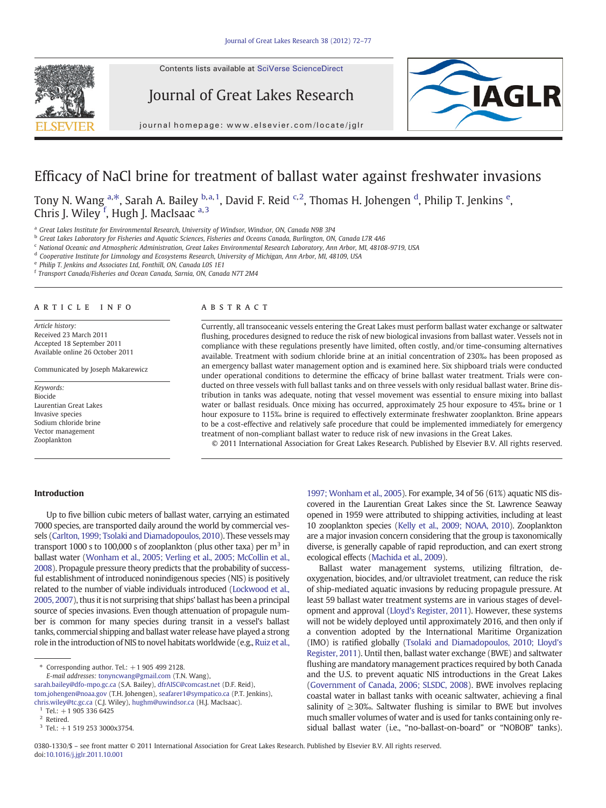Contents lists available at SciVerse ScienceDirect

Journal of Great Lakes Research



journal homepage: www.elsevier.com/locate/jglr

# Efficacy of NaCl brine for treatment of ballast water against freshwater invasions

Tony N. Wang <sup>a,\*</sup>, Sarah A. Bailey <sup>b,a,1</sup>, David F. Reid <sup>c,2</sup>, Thomas H. Johengen <sup>d</sup>, Philip T. Jenkins <sup>e</sup>, Chris J. Wiley <sup>f</sup>, Hugh J. MacIsaac <sup>a, 3</sup>

a Great Lakes Institute for Environmental Research, University of Windsor, Windsor, ON, Canada N9B 3P4

<sup>b</sup> Great Lakes Laboratory for Fisheries and Aquatic Sciences, Fisheries and Oceans Canada, Burlington, ON, Canada L7R 4A6

<sup>d</sup> Cooperative Institute for Limnology and Ecosystems Research, University of Michigan, Ann Arbor, MI, 48109, USA

<sup>e</sup> Philip T. Jenkins and Associates Ltd, Fonthill, ON, Canada L0S 1E1

<sup>f</sup> Transport Canada/Fisheries and Ocean Canada, Sarnia, ON, Canada N7T 2M4

## article info abstract

Article history: Received 23 March 2011 Accepted 18 September 2011 Available online 26 October 2011

Communicated by Joseph Makarewicz

Keywords: Biocide Laurentian Great Lakes Invasive species Sodium chloride brine Vector management Zooplankton

Currently, all transoceanic vessels entering the Great Lakes must perform ballast water exchange or saltwater flushing, procedures designed to reduce the risk of new biological invasions from ballast water. Vessels not in compliance with these regulations presently have limited, often costly, and/or time-consuming alternatives available. Treatment with sodium chloride brine at an initial concentration of 230‰ has been proposed as an emergency ballast water management option and is examined here. Six shipboard trials were conducted under operational conditions to determine the efficacy of brine ballast water treatment. Trials were conducted on three vessels with full ballast tanks and on three vessels with only residual ballast water. Brine distribution in tanks was adequate, noting that vessel movement was essential to ensure mixing into ballast water or ballast residuals. Once mixing has occurred, approximately 25 hour exposure to 45‰ brine or 1 hour exposure to 115‰ brine is required to effectively exterminate freshwater zooplankton. Brine appears to be a cost-effective and relatively safe procedure that could be implemented immediately for emergency treatment of non-compliant ballast water to reduce risk of new invasions in the Great Lakes.

© 2011 International Association for Great Lakes Research. Published by Elsevier B.V. All rights reserved.

# Introduction

Up to five billion cubic meters of ballast water, carrying an estimated 7000 species, are transported daily around the world by commercial vessels [\(Carlton, 1999; Tsolaki and Diamadopoulos, 2010](#page-5-0)). These vessels may transport 1000 s to 100,000 s of zooplankton (plus other taxa) per  $m<sup>3</sup>$  in ballast water [\(Wonham et al., 2005; Verling et al., 2005; McCollin et al.,](#page-5-0) [2008](#page-5-0)). Propagule pressure theory predicts that the probability of successful establishment of introduced nonindigenous species (NIS) is positively related to the number of viable individuals introduced ([Lockwood et al.,](#page-5-0) [2005, 2007\)](#page-5-0), thus it is not surprising that ships' ballast has been a principal source of species invasions. Even though attenuation of propagule number is common for many species during transit in a vessel's ballast tanks, commercial shipping and ballast water release have played a strong role in the introduction of NIS to novel habitats worldwide (e.g., [Ruiz et al.,](#page-5-0)

E-mail addresses: [tonyncwang@gmail.com](mailto:tonyncwang@gmail.com) (T.N. Wang),

[1997; Wonham et al., 2005\)](#page-5-0). For example, 34 of 56 (61%) aquatic NIS discovered in the Laurentian Great Lakes since the St. Lawrence Seaway opened in 1959 were attributed to shipping activities, including at least 10 zooplankton species [\(Kelly et al., 2009; NOAA, 2010\)](#page-5-0). Zooplankton are a major invasion concern considering that the group is taxonomically diverse, is generally capable of rapid reproduction, and can exert strong ecological effects [\(Machida et al., 2009\)](#page-5-0).

Ballast water management systems, utilizing filtration, deoxygenation, biocides, and/or ultraviolet treatment, can reduce the risk of ship-mediated aquatic invasions by reducing propagule pressure. At least 59 ballast water treatment systems are in various stages of development and approval [\(Lloyd's Register, 2011\)](#page-5-0). However, these systems will not be widely deployed until approximately 2016, and then only if a convention adopted by the International Maritime Organization (IMO) is ratified globally ([Tsolaki and Diamadopoulos, 2010; Lloyd's](#page-5-0) [Register, 2011](#page-5-0)). Until then, ballast water exchange (BWE) and saltwater flushing are mandatory management practices required by both Canada and the U.S. to prevent aquatic NIS introductions in the Great Lakes [\(Government of Canada, 2006; SLSDC, 2008](#page-5-0)). BWE involves replacing coastal water in ballast tanks with oceanic saltwater, achieving a final salinity of  $\geq$  30‰. Saltwater flushing is similar to BWE but involves much smaller volumes of water and is used for tanks containing only residual ballast water (i.e., "no-ballast-on-board" or "NOBOB" tanks).

0380-1330/\$ – see front matter © 2011 International Association for Great Lakes Research. Published by Elsevier B.V. All rights reserved. doi[:10.1016/j.jglr.2011.10.001](http://dx.doi.org/10.1016/j.jglr.2011.10.001)

<sup>c</sup> National Oceanic and Atmospheric Administration, Great Lakes Environmental Research Laboratory, Ann Arbor, MI, 48108-9719, USA

 $*$  Corresponding author. Tel.:  $+1$  905 499 2128.

[sarah.bailey@dfo-mpo.gc.ca](mailto:sarah.bailey@dfo-mpo.gc.ca) (S.A. Bailey), [dfrAISC@comcast.net](mailto:dfrAISC@comcast.net) (D.F. Reid), [tom.johengen@noaa.gov](mailto:tom.johengen@noaa.gov) (T.H. Johengen), [seafarer1@sympatico.ca](mailto:seafarer1@sympatico.ca) (P.T. Jenkins), [chris.wiley@tc.gc.ca](mailto:chris.wiley@tc.gc.ca) (C.J. Wiley), [hughm@uwindsor.ca](mailto:hughm@uwindsor.ca) (H.J. MacIsaac).  $1$  Tel.: +1 905 336 6425

<sup>2</sup> Retired.

<sup>3</sup> Tel.: +1 519 253 3000x3754.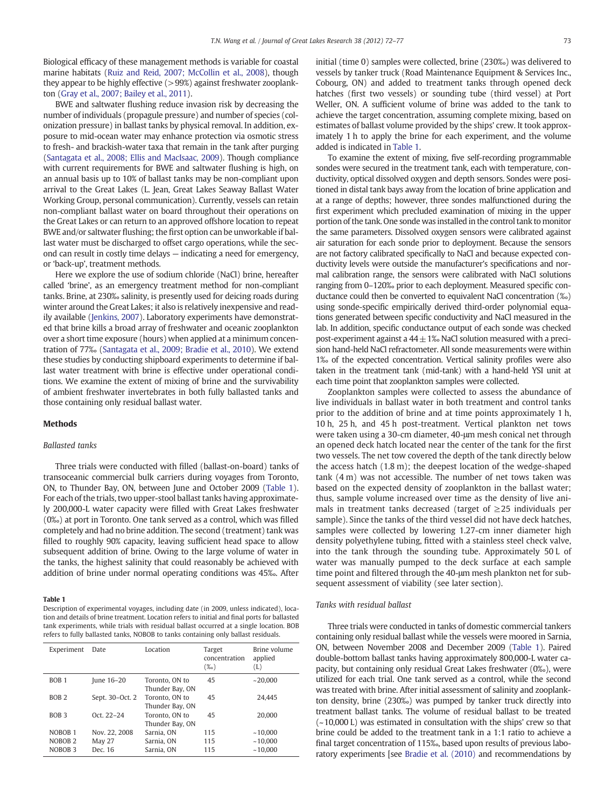Biological efficacy of these management methods is variable for coastal marine habitats ([Ruiz and Reid, 2007; McCollin et al., 2008\)](#page-5-0), though they appear to be highly effective  $(>99%)$  against freshwater zooplankton [\(Gray et al., 2007; Bailey et al., 2011\)](#page-5-0).

BWE and saltwater flushing reduce invasion risk by decreasing the number of individuals (propagule pressure) and number of species (colonization pressure) in ballast tanks by physical removal. In addition, exposure to mid-ocean water may enhance protection via osmotic stress to fresh- and brackish-water taxa that remain in the tank after purging [\(Santagata et al., 2008; Ellis and MacIsaac, 2009\)](#page-5-0). Though compliance with current requirements for BWE and saltwater flushing is high, on an annual basis up to 10% of ballast tanks may be non-compliant upon arrival to the Great Lakes (L. Jean, Great Lakes Seaway Ballast Water Working Group, personal communication). Currently, vessels can retain non-compliant ballast water on board throughout their operations on the Great Lakes or can return to an approved offshore location to repeat BWE and/or saltwater flushing; the first option can be unworkable if ballast water must be discharged to offset cargo operations, while the second can result in costly time delays — indicating a need for emergency, or 'back-up', treatment methods.

Here we explore the use of sodium chloride (NaCl) brine, hereafter called 'brine', as an emergency treatment method for non-compliant tanks. Brine, at 230‰ salinity, is presently used for deicing roads during winter around the Great Lakes; it also is relatively inexpensive and readily available [\(Jenkins, 2007\)](#page-5-0). Laboratory experiments have demonstrated that brine kills a broad array of freshwater and oceanic zooplankton over a short time exposure (hours) when applied at a minimum concentration of 77‰ [\(Santagata et al., 2009; Bradie et al., 2010\)](#page-5-0). We extend these studies by conducting shipboard experiments to determine if ballast water treatment with brine is effective under operational conditions. We examine the extent of mixing of brine and the survivability of ambient freshwater invertebrates in both fully ballasted tanks and those containing only residual ballast water.

#### Methods

#### Ballasted tanks

Three trials were conducted with filled (ballast-on-board) tanks of transoceanic commercial bulk carriers during voyages from Toronto, ON, to Thunder Bay, ON, between June and October 2009 (Table 1). For each of the trials, two upper-stool ballast tanks having approximately 200,000-L water capacity were filled with Great Lakes freshwater (0‰) at port in Toronto. One tank served as a control, which was filled completely and had no brine addition. The second (treatment) tank was filled to roughly 90% capacity, leaving sufficient head space to allow subsequent addition of brine. Owing to the large volume of water in the tanks, the highest salinity that could reasonably be achieved with addition of brine under normal operating conditions was 45‰. After

#### Table 1

Description of experimental voyages, including date (in 2009, unless indicated), location and details of brine treatment. Location refers to initial and final ports for ballasted tank experiments, while trials with residual ballast occurred at a single location. BOB refers to fully ballasted tanks, NOBOB to tanks containing only ballast residuals.

| Experiment         | Date            | Location                          | Target<br>concentration<br>$(\%_{\circ})$ | Brine volume<br>applied<br>(L) |
|--------------------|-----------------|-----------------------------------|-------------------------------------------|--------------------------------|
| BOB <sub>1</sub>   | June 16-20      | Toronto, ON to<br>Thunder Bay, ON | 45                                        | ~20.000                        |
| BOB <sub>2</sub>   | Sept. 30-Oct. 2 | Toronto, ON to<br>Thunder Bay, ON | 45                                        | 24.445                         |
| BOB <sub>3</sub>   | $Ort$ 22-24     | Toronto, ON to<br>Thunder Bay, ON | 45                                        | 20,000                         |
| NOBOB <sub>1</sub> | Nov. 22, 2008   | Sarnia, ON                        | 115                                       | ~10,000                        |
| NOBOB <sub>2</sub> | <b>May 27</b>   | Sarnia, ON                        | 115                                       | ~10,000                        |
| NOBOB <sub>3</sub> | Dec. 16         | Sarnia, ON                        | 115                                       | ~10.000                        |

initial (time 0) samples were collected, brine (230‰) was delivered to vessels by tanker truck (Road Maintenance Equipment & Services Inc., Cobourg, ON) and added to treatment tanks through opened deck hatches (first two vessels) or sounding tube (third vessel) at Port Weller, ON. A sufficient volume of brine was added to the tank to achieve the target concentration, assuming complete mixing, based on estimates of ballast volume provided by the ships' crew. It took approximately 1 h to apply the brine for each experiment, and the volume added is indicated in Table 1.

To examine the extent of mixing, five self-recording programmable sondes were secured in the treatment tank, each with temperature, conductivity, optical dissolved oxygen and depth sensors. Sondes were positioned in distal tank bays away from the location of brine application and at a range of depths; however, three sondes malfunctioned during the first experiment which precluded examination of mixing in the upper portion of the tank. One sonde was installed in the control tank to monitor the same parameters. Dissolved oxygen sensors were calibrated against air saturation for each sonde prior to deployment. Because the sensors are not factory calibrated specifically to NaCl and because expected conductivity levels were outside the manufacturer's specifications and normal calibration range, the sensors were calibrated with NaCl solutions ranging from 0–120‰ prior to each deployment. Measured specific conductance could then be converted to equivalent NaCl concentration (‰) using sonde-specific empirically derived third-order polynomial equations generated between specific conductivity and NaCl measured in the lab. In addition, specific conductance output of each sonde was checked post-experiment against a  $44 \pm 1$ % NaCl solution measured with a precision hand-held NaCl refractometer. All sonde measurements were within 1‰ of the expected concentration. Vertical salinity profiles were also taken in the treatment tank (mid-tank) with a hand-held YSI unit at each time point that zooplankton samples were collected.

Zooplankton samples were collected to assess the abundance of live individuals in ballast water in both treatment and control tanks prior to the addition of brine and at time points approximately 1 h, 10 h, 25 h, and 45 h post-treatment. Vertical plankton net tows were taken using a 30-cm diameter, 40-μm mesh conical net through an opened deck hatch located near the center of the tank for the first two vessels. The net tow covered the depth of the tank directly below the access hatch (1.8 m); the deepest location of the wedge-shaped tank (4 m) was not accessible. The number of net tows taken was based on the expected density of zooplankton in the ballast water; thus, sample volume increased over time as the density of live animals in treatment tanks decreased (target of  $\geq$  25 individuals per sample). Since the tanks of the third vessel did not have deck hatches, samples were collected by lowering 1.27-cm inner diameter high density polyethylene tubing, fitted with a stainless steel check valve, into the tank through the sounding tube. Approximately 50 L of water was manually pumped to the deck surface at each sample time point and filtered through the 40-μm mesh plankton net for subsequent assessment of viability (see later section).

#### Tanks with residual ballast

Three trials were conducted in tanks of domestic commercial tankers containing only residual ballast while the vessels were moored in Sarnia, ON, between November 2008 and December 2009 (Table 1). Paired double-bottom ballast tanks having approximately 800,000-L water capacity, but containing only residual Great Lakes freshwater (0‰), were utilized for each trial. One tank served as a control, while the second was treated with brine. After initial assessment of salinity and zooplankton density, brine (230‰) was pumped by tanker truck directly into treatment ballast tanks. The volume of residual ballast to be treated  $(-10,000)$  L) was estimated in consultation with the ships' crew so that brine could be added to the treatment tank in a 1:1 ratio to achieve a final target concentration of 115‰, based upon results of previous laboratory experiments [see [Bradie et al. \(2010\)](#page-5-0) and recommendations by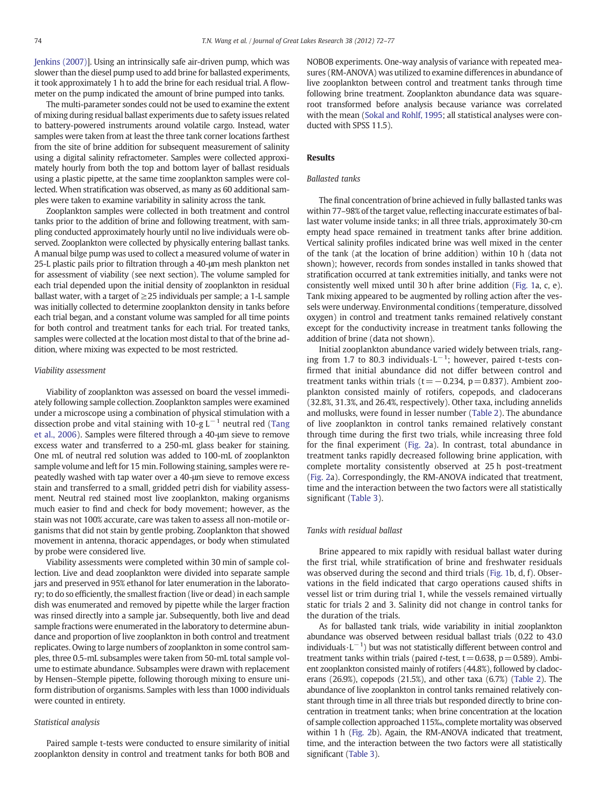[Jenkins \(2007\)\]](#page-5-0). Using an intrinsically safe air-driven pump, which was slower than the diesel pump used to add brine for ballasted experiments, it took approximately 1 h to add the brine for each residual trial. A flowmeter on the pump indicated the amount of brine pumped into tanks.

The multi-parameter sondes could not be used to examine the extent of mixing during residual ballast experiments due to safety issues related to battery-powered instruments around volatile cargo. Instead, water samples were taken from at least the three tank corner locations farthest from the site of brine addition for subsequent measurement of salinity using a digital salinity refractometer. Samples were collected approximately hourly from both the top and bottom layer of ballast residuals using a plastic pipette, at the same time zooplankton samples were collected. When stratification was observed, as many as 60 additional samples were taken to examine variability in salinity across the tank.

Zooplankton samples were collected in both treatment and control tanks prior to the addition of brine and following treatment, with sampling conducted approximately hourly until no live individuals were observed. Zooplankton were collected by physically entering ballast tanks. A manual bilge pump was used to collect a measured volume of water in 25-L plastic pails prior to filtration through a 40-μm mesh plankton net for assessment of viability (see next section). The volume sampled for each trial depended upon the initial density of zooplankton in residual ballast water, with a target of  $\geq$  25 individuals per sample; a 1-L sample was initially collected to determine zooplankton density in tanks before each trial began, and a constant volume was sampled for all time points for both control and treatment tanks for each trial. For treated tanks, samples were collected at the location most distal to that of the brine addition, where mixing was expected to be most restricted.

#### Viability assessment

Viability of zooplankton was assessed on board the vessel immediately following sample collection. Zooplankton samples were examined under a microscope using a combination of physical stimulation with a dissection probe and vital staining with  $10-g L^{-1}$  neutral red ([Tang](#page-5-0) [et al., 2006](#page-5-0)). Samples were filtered through a 40-μm sieve to remove excess water and transferred to a 250-mL glass beaker for staining. One mL of neutral red solution was added to 100-mL of zooplankton sample volume and left for 15 min. Following staining, samples were repeatedly washed with tap water over a 40-μm sieve to remove excess stain and transferred to a small, gridded petri dish for viability assessment. Neutral red stained most live zooplankton, making organisms much easier to find and check for body movement; however, as the stain was not 100% accurate, care was taken to assess all non-motile organisms that did not stain by gentle probing. Zooplankton that showed movement in antenna, thoracic appendages, or body when stimulated by probe were considered live.

Viability assessments were completed within 30 min of sample collection. Live and dead zooplankton were divided into separate sample jars and preserved in 95% ethanol for later enumeration in the laboratory; to do so efficiently, the smallest fraction (live or dead) in each sample dish was enumerated and removed by pipette while the larger fraction was rinsed directly into a sample jar. Subsequently, both live and dead sample fractions were enumerated in the laboratory to determine abundance and proportion of live zooplankton in both control and treatment replicates. Owing to large numbers of zooplankton in some control samples, three 0.5-mL subsamples were taken from 50-mL total sample volume to estimate abundance. Subsamples were drawn with replacement by Hensen–Stemple pipette, following thorough mixing to ensure uniform distribution of organisms. Samples with less than 1000 individuals were counted in entirety.

### Statistical analysis

Paired sample t-tests were conducted to ensure similarity of initial zooplankton density in control and treatment tanks for both BOB and NOBOB experiments. One-way analysis of variance with repeated measures (RM-ANOVA) was utilized to examine differences in abundance of live zooplankton between control and treatment tanks through time following brine treatment. Zooplankton abundance data was squareroot transformed before analysis because variance was correlated with the mean ([Sokal and Rohlf, 1995;](#page-5-0) all statistical analyses were conducted with SPSS 11.5).

#### Results

# Ballasted tanks

The final concentration of brine achieved in fully ballasted tanks was within 77–98% of the target value, reflecting inaccurate estimates of ballast water volume inside tanks; in all three trials, approximately 30-cm empty head space remained in treatment tanks after brine addition. Vertical salinity profiles indicated brine was well mixed in the center of the tank (at the location of brine addition) within 10 h (data not shown); however, records from sondes installed in tanks showed that stratification occurred at tank extremities initially, and tanks were not consistently well mixed until 30 h after brine addition ([Fig. 1](#page-3-0)a, c, e). Tank mixing appeared to be augmented by rolling action after the vessels were underway. Environmental conditions (temperature, dissolved oxygen) in control and treatment tanks remained relatively constant except for the conductivity increase in treatment tanks following the addition of brine (data not shown).

Initial zooplankton abundance varied widely between trials, ranging from 1.7 to 80.3 individuals·L−<sup>1</sup> ; however, paired t-tests confirmed that initial abundance did not differ between control and treatment tanks within trials (t= $-0.234$ , p=0.837). Ambient zooplankton consisted mainly of rotifers, copepods, and cladocerans (32.8%, 31.3%, and 26.4%, respectively). Other taxa, including annelids and mollusks, were found in lesser number [\(Table 2](#page-3-0)). The abundance of live zooplankton in control tanks remained relatively constant through time during the first two trials, while increasing three fold for the final experiment [\(Fig. 2a](#page-4-0)). In contrast, total abundance in treatment tanks rapidly decreased following brine application, with complete mortality consistently observed at 25 h post-treatment [\(Fig. 2a](#page-4-0)). Correspondingly, the RM-ANOVA indicated that treatment, time and the interaction between the two factors were all statistically significant [\(Table 3\)](#page-4-0).

#### Tanks with residual ballast

Brine appeared to mix rapidly with residual ballast water during the first trial, while stratification of brine and freshwater residuals was observed during the second and third trials ([Fig. 1b](#page-3-0), d, f). Observations in the field indicated that cargo operations caused shifts in vessel list or trim during trial 1, while the vessels remained virtually static for trials 2 and 3. Salinity did not change in control tanks for the duration of the trials.

As for ballasted tank trials, wide variability in initial zooplankton abundance was observed between residual ballast trials (0.22 to 43.0 individuals·L−<sup>1</sup> ) but was not statistically different between control and treatment tanks within trials (paired *t*-test,  $t=0.638$ ,  $p=0.589$ ). Ambient zooplankton consisted mainly of rotifers (44.8%), followed by cladocerans (26.9%), copepods (21.5%), and other taxa (6.7%) ([Table 2\)](#page-3-0). The abundance of live zooplankton in control tanks remained relatively constant through time in all three trials but responded directly to brine concentration in treatment tanks; when brine concentration at the location of sample collection approached 115‰, complete mortality was observed within 1 h [\(Fig. 2b](#page-4-0)). Again, the RM-ANOVA indicated that treatment, time, and the interaction between the two factors were all statistically significant [\(Table 3](#page-4-0)).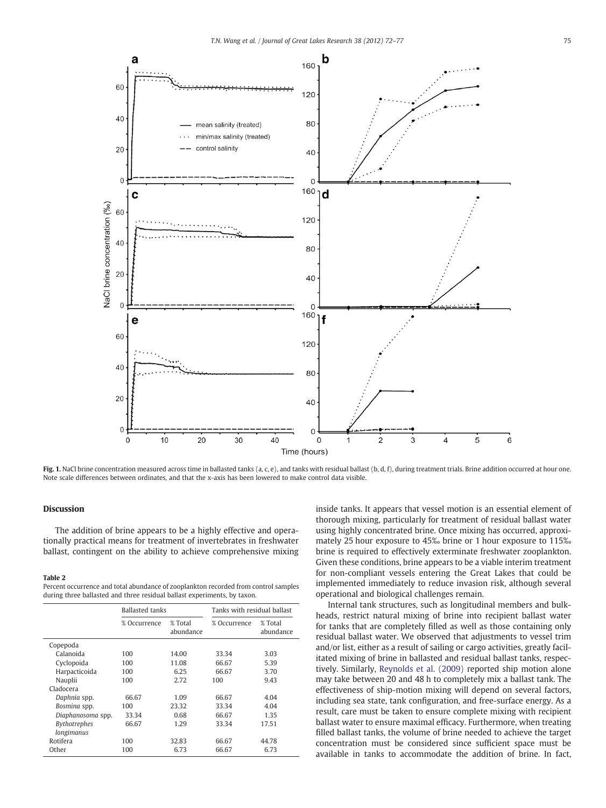<span id="page-3-0"></span>

Fig. 1. NaCl brine concentration measured across time in ballasted tanks (a, c, e), and tanks with residual ballast (b, d, f), during treatment trials. Brine addition occurred at hour one. Note scale differences between ordinates, and that the x-axis has been lowered to make control data visible.

# Discussion

The addition of brine appears to be a highly effective and operationally practical means for treatment of invertebrates in freshwater ballast, contingent on the ability to achieve comprehensive mixing

#### Table 2

Percent occurrence and total abundance of zooplankton recorded from control samples during three ballasted and three residual ballast experiments, by taxon.

|                     | <b>Ballasted tanks</b> |                      | Tanks with residual ballast |                      |  |
|---------------------|------------------------|----------------------|-----------------------------|----------------------|--|
|                     | % Occurrence           | % Total<br>abundance | % Occurrence                | % Total<br>abundance |  |
| Copepoda            |                        |                      |                             |                      |  |
| Calanoida           | 100                    | 14.00                | 33.34                       | 3.03                 |  |
| Cyclopoida          | 100                    | 11.08<br>66.67       |                             | 5.39                 |  |
| Harpacticoida       | 100                    | 6.25<br>66.67        |                             | 3.70                 |  |
| Nauplii             | 100                    | 2.72                 | 100                         |                      |  |
| Cladocera           |                        |                      |                             |                      |  |
| Daphnia spp.        | 66.67                  | 1.09                 | 66.67                       | 4.04                 |  |
| Bosmina spp.        | 100                    | 23.32                | 33.34                       | 4.04                 |  |
| Diaphanosoma spp.   | 33.34                  | 0.68                 | 66.67                       | 1.35                 |  |
| <b>Bythotrephes</b> | 66.67                  | 1.29                 | 33.34                       | 17.51                |  |
| longimanus          |                        |                      |                             |                      |  |
| Rotifera            | 100                    | 32.83                | 66.67                       | 44.78                |  |
| Other               | 100                    | 6.73                 | 66.67                       | 6.73                 |  |

inside tanks. It appears that vessel motion is an essential element of thorough mixing, particularly for treatment of residual ballast water using highly concentrated brine. Once mixing has occurred, approximately 25 hour exposure to 45‰ brine or 1 hour exposure to 115‰ brine is required to effectively exterminate freshwater zooplankton. Given these conditions, brine appears to be a viable interim treatment for non-compliant vessels entering the Great Lakes that could be implemented immediately to reduce invasion risk, although several operational and biological challenges remain.

Internal tank structures, such as longitudinal members and bulkheads, restrict natural mixing of brine into recipient ballast water for tanks that are completely filled as well as those containing only residual ballast water. We observed that adjustments to vessel trim and/or list, either as a result of sailing or cargo activities, greatly facilitated mixing of brine in ballasted and residual ballast tanks, respectively. Similarly, [Reynolds et al. \(2009\)](#page-5-0) reported ship motion alone may take between 20 and 48 h to completely mix a ballast tank. The effectiveness of ship-motion mixing will depend on several factors, including sea state, tank configuration, and free-surface energy. As a result, care must be taken to ensure complete mixing with recipient ballast water to ensure maximal efficacy. Furthermore, when treating filled ballast tanks, the volume of brine needed to achieve the target concentration must be considered since sufficient space must be available in tanks to accommodate the addition of brine. In fact,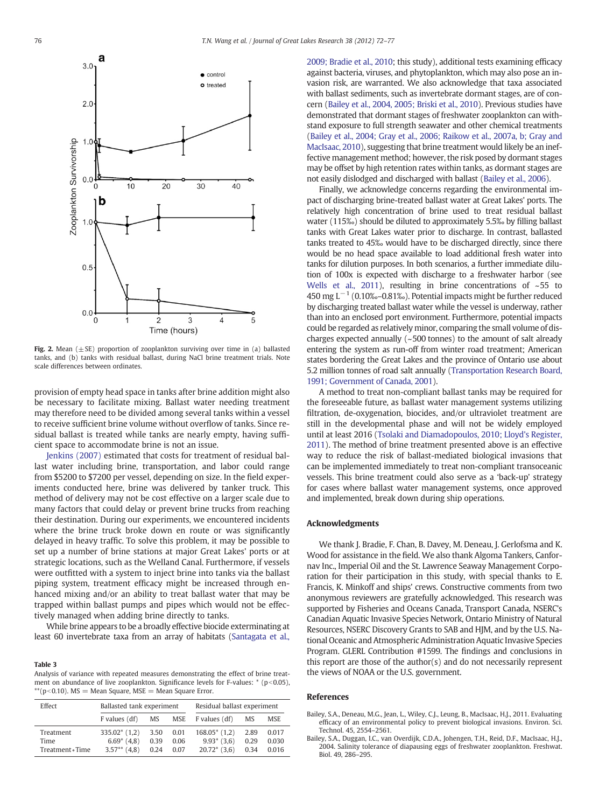<span id="page-4-0"></span>

Fig. 2. Mean ( $\pm$ SE) proportion of zooplankton surviving over time in (a) ballasted tanks, and (b) tanks with residual ballast, during NaCl brine treatment trials. Note scale differences between ordinates.

provision of empty head space in tanks after brine addition might also be necessary to facilitate mixing. Ballast water needing treatment may therefore need to be divided among several tanks within a vessel to receive sufficient brine volume without overflow of tanks. Since residual ballast is treated while tanks are nearly empty, having sufficient space to accommodate brine is not an issue.

[Jenkins \(2007\)](#page-5-0) estimated that costs for treatment of residual ballast water including brine, transportation, and labor could range from \$5200 to \$7200 per vessel, depending on size. In the field experiments conducted here, brine was delivered by tanker truck. This method of delivery may not be cost effective on a larger scale due to many factors that could delay or prevent brine trucks from reaching their destination. During our experiments, we encountered incidents where the brine truck broke down en route or was significantly delayed in heavy traffic. To solve this problem, it may be possible to set up a number of brine stations at major Great Lakes' ports or at strategic locations, such as the Welland Canal. Furthermore, if vessels were outfitted with a system to inject brine into tanks via the ballast piping system, treatment efficacy might be increased through enhanced mixing and/or an ability to treat ballast water that may be trapped within ballast pumps and pipes which would not be effectively managed when adding brine directly to tanks.

While brine appears to be a broadly effective biocide exterminating at least 60 invertebrate taxa from an array of habitats [\(Santagata et al.,](#page-5-0)

#### Table 3

Analysis of variance with repeated measures demonstrating the effect of brine treatment on abundance of live zooplankton. Significance levels for F-values:  $*(p<0.05)$ ,  $^{**}(p<0.10)$ . MS = Mean Square, MSE = Mean Square Error.

| Effect                   | Ballasted tank experiment        |              |              | Residual ballast experiment      |              |                |
|--------------------------|----------------------------------|--------------|--------------|----------------------------------|--------------|----------------|
|                          | F values (df)                    | MS           | MSE          | F values (df)                    | MS.          | <b>MSE</b>     |
| Treatment                | $335.02^*$ (1,2)                 | 3.50         | 0.01         | $168.05*$ (1.2)                  | 2.89         | 0.017          |
| Time<br>Treatment * Time | $6.69^*$ (4.8)<br>$3.57**$ (4.8) | 0.39<br>0.24 | 0.06<br>0.07 | $9.93^*$ (3.6)<br>$20.72*$ (3.6) | 0.29<br>0.34 | 0.030<br>0.016 |

[2009; Bradie et al., 2010;](#page-5-0) this study), additional tests examining efficacy against bacteria, viruses, and phytoplankton, which may also pose an invasion risk, are warranted. We also acknowledge that taxa associated with ballast sediments, such as invertebrate dormant stages, are of concern (Bailey et al., 2004, 2005; Briski et al., 2010). Previous studies have demonstrated that dormant stages of freshwater zooplankton can withstand exposure to full strength seawater and other chemical treatments (Bailey et al., 2004; Gray et al., 2006; Raikow et al., 2007a, b; Gray and MacIsaac, 2010), suggesting that brine treatment would likely be an ineffective management method; however, the risk posed by dormant stages may be offset by high retention rates within tanks, as dormant stages are not easily dislodged and discharged with ballast [\(Bailey et al., 2006\)](#page-5-0).

Finally, we acknowledge concerns regarding the environmental impact of discharging brine-treated ballast water at Great Lakes' ports. The relatively high concentration of brine used to treat residual ballast water (115‰) should be diluted to approximately 5.5‰ by filling ballast tanks with Great Lakes water prior to discharge. In contrast, ballasted tanks treated to 45‰ would have to be discharged directly, since there would be no head space available to load additional fresh water into tanks for dilution purposes. In both scenarios, a further immediate dilution of 100x is expected with discharge to a freshwater harbor (see [Wells et al., 2011](#page-5-0)), resulting in brine concentrations of  $\sim$  55 to 450 mg  $L^{-1}$  (0.10‰–0.81‰). Potential impacts might be further reduced by discharging treated ballast water while the vessel is underway, rather than into an enclosed port environment. Furthermore, potential impacts could be regarded as relatively minor, comparing the small volume of discharges expected annually  $(-500 \text{ tonnes})$  to the amount of salt already entering the system as run-off from winter road treatment; American states bordering the Great Lakes and the province of Ontario use about 5.2 million tonnes of road salt annually ([Transportation Research Board,](#page-5-0) [1991; Government of Canada, 2001](#page-5-0)).

A method to treat non-compliant ballast tanks may be required for the foreseeable future, as ballast water management systems utilizing filtration, de-oxygenation, biocides, and/or ultraviolet treatment are still in the developmental phase and will not be widely employed until at least 2016 [\(Tsolaki and Diamadopoulos, 2010; Lloyd's Register,](#page-5-0) [2011\)](#page-5-0). The method of brine treatment presented above is an effective way to reduce the risk of ballast-mediated biological invasions that can be implemented immediately to treat non-compliant transoceanic vessels. This brine treatment could also serve as a 'back-up' strategy for cases where ballast water management systems, once approved and implemented, break down during ship operations.

### Acknowledgments

We thank J. Bradie, F. Chan, B. Davey, M. Deneau, J. Gerlofsma and K. Wood for assistance in the field. We also thank Algoma Tankers, Canfornav Inc., Imperial Oil and the St. Lawrence Seaway Management Corporation for their participation in this study, with special thanks to E. Francis, K. Minkoff and ships' crews. Constructive comments from two anonymous reviewers are gratefully acknowledged. This research was supported by Fisheries and Oceans Canada, Transport Canada, NSERC's Canadian Aquatic Invasive Species Network, Ontario Ministry of Natural Resources, NSERC Discovery Grants to SAB and HJM, and by the U.S. National Oceanic and Atmospheric Administration Aquatic Invasive Species Program. GLERL Contribution #1599. The findings and conclusions in this report are those of the author(s) and do not necessarily represent the views of NOAA or the U.S. government.

### References

- Bailey, S.A., Deneau, M.G., Jean, L., Wiley, C.J., Leung, B., MacIsaac, H.J., 2011. Evaluating efficacy of an environmental policy to prevent biological invasions. Environ. Sci. Technol. 45, 2554–2561.
- Bailey, S.A., Duggan, I.C., van Overdijk, C.D.A., Johengen, T.H., Reid, D.F., MacIsaac, H.J., 2004. Salinity tolerance of diapausing eggs of freshwater zooplankton. Freshwat. Biol. 49, 286–295.